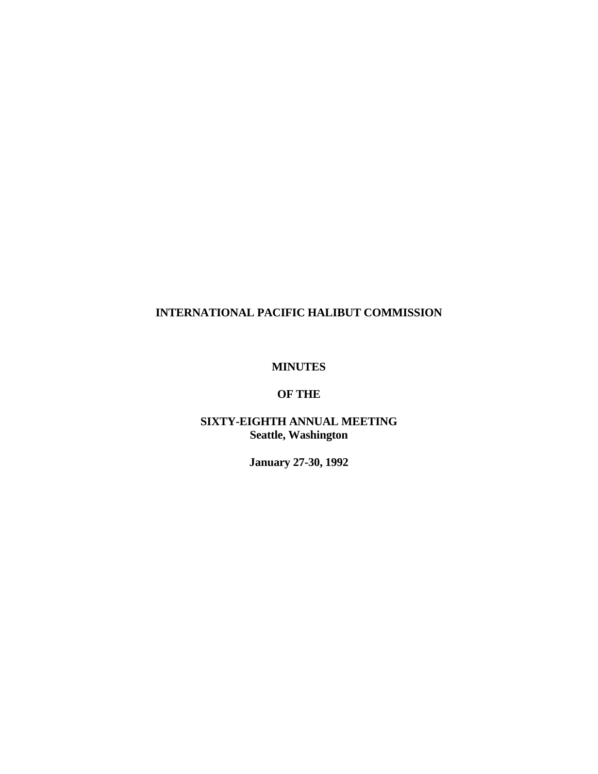## **MINUTES**

# **OF THE**

# **SIXTY-EIGHTH ANNUAL MEETING Seattle, Washington**

**January 27-30, 1992**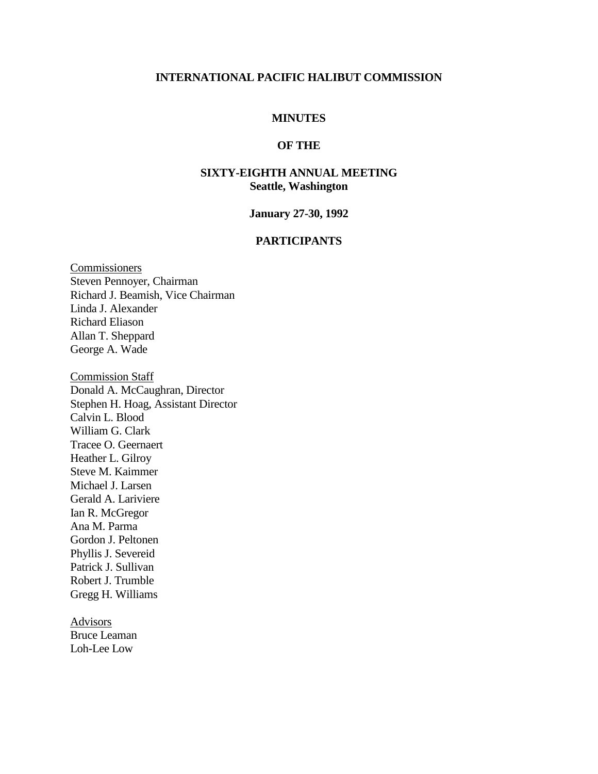## **MINUTES**

### **OF THE**

## **SIXTY-EIGHTH ANNUAL MEETING Seattle, Washington**

#### **January 27-30, 1992**

#### **PARTICIPANTS**

**Commissioners** Steven Pennoyer, Chairman Richard J. Beamish, Vice Chairman Linda J. Alexander Richard Eliason Allan T. Sheppard George A. Wade

Commission Staff Donald A. McCaughran, Director Stephen H. Hoag, Assistant Director Calvin L. Blood William G. Clark Tracee O. Geernaert Heather L. Gilroy Steve M. Kaimmer Michael J. Larsen Gerald A. Lariviere Ian R. McGregor Ana M. Parma Gordon J. Peltonen Phyllis J. Severeid Patrick J. Sullivan Robert J. Trumble Gregg H. Williams

**Advisors** Bruce Leaman Loh-Lee Low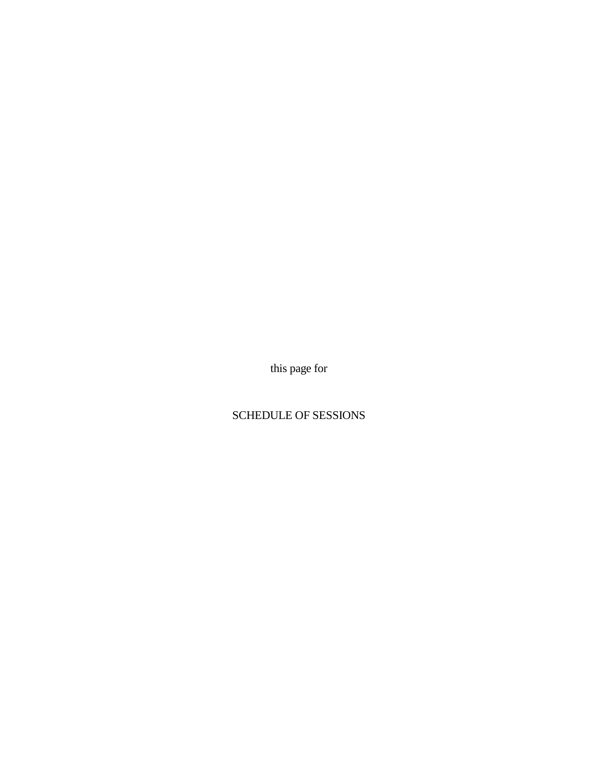this page for

# SCHEDULE OF SESSIONS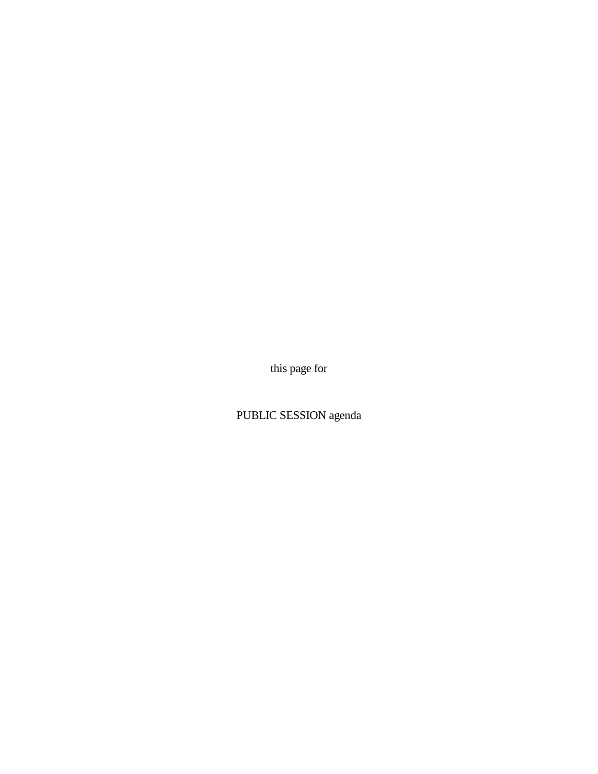this page for

PUBLIC SESSION agenda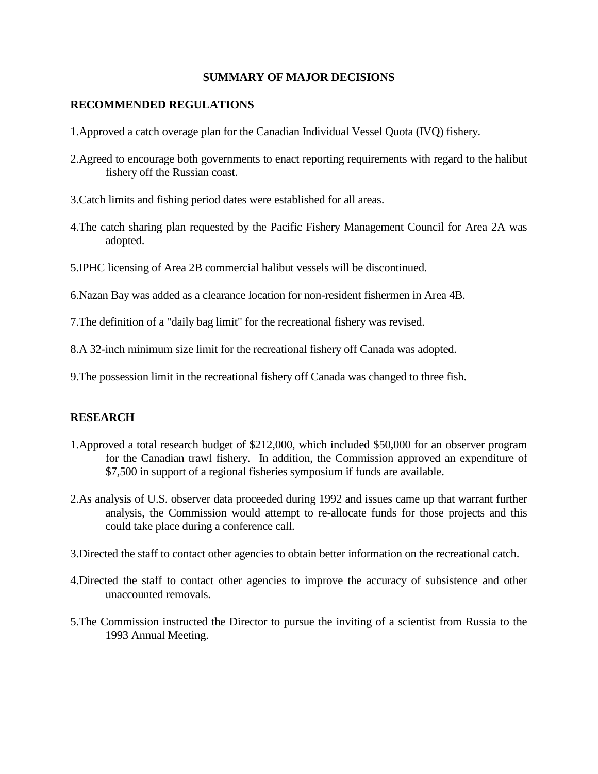#### **SUMMARY OF MAJOR DECISIONS**

### **RECOMMENDED REGULATIONS**

- 1.Approved a catch overage plan for the Canadian Individual Vessel Quota (IVQ) fishery.
- 2.Agreed to encourage both governments to enact reporting requirements with regard to the halibut fishery off the Russian coast.
- 3.Catch limits and fishing period dates were established for all areas.
- 4.The catch sharing plan requested by the Pacific Fishery Management Council for Area 2A was adopted.
- 5.IPHC licensing of Area 2B commercial halibut vessels will be discontinued.

6.Nazan Bay was added as a clearance location for non-resident fishermen in Area 4B.

7.The definition of a "daily bag limit" for the recreational fishery was revised.

8.A 32-inch minimum size limit for the recreational fishery off Canada was adopted.

9.The possession limit in the recreational fishery off Canada was changed to three fish.

### **RESEARCH**

- 1.Approved a total research budget of \$212,000, which included \$50,000 for an observer program for the Canadian trawl fishery. In addition, the Commission approved an expenditure of \$7,500 in support of a regional fisheries symposium if funds are available.
- 2.As analysis of U.S. observer data proceeded during 1992 and issues came up that warrant further analysis, the Commission would attempt to re-allocate funds for those projects and this could take place during a conference call.
- 3.Directed the staff to contact other agencies to obtain better information on the recreational catch.
- 4.Directed the staff to contact other agencies to improve the accuracy of subsistence and other unaccounted removals.
- 5.The Commission instructed the Director to pursue the inviting of a scientist from Russia to the 1993 Annual Meeting.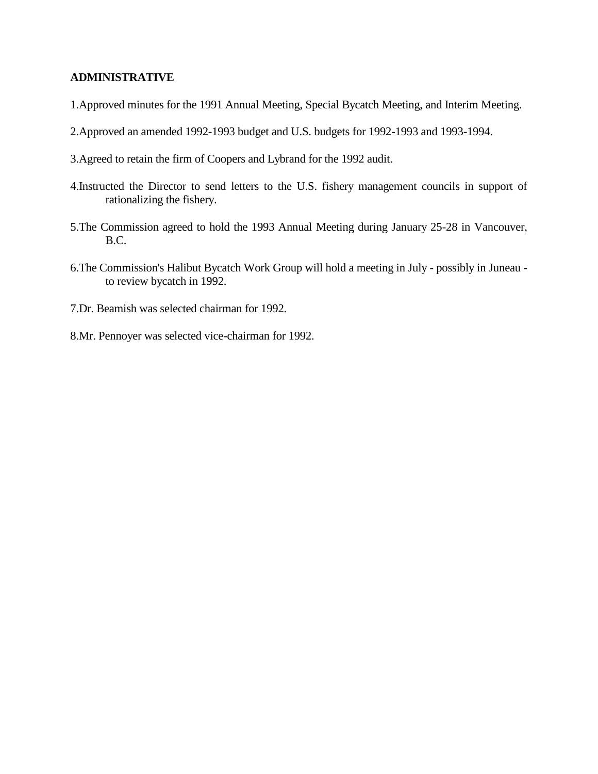## **ADMINISTRATIVE**

- 1.Approved minutes for the 1991 Annual Meeting, Special Bycatch Meeting, and Interim Meeting.
- 2.Approved an amended 1992-1993 budget and U.S. budgets for 1992-1993 and 1993-1994.
- 3.Agreed to retain the firm of Coopers and Lybrand for the 1992 audit.
- 4.Instructed the Director to send letters to the U.S. fishery management councils in support of rationalizing the fishery.
- 5.The Commission agreed to hold the 1993 Annual Meeting during January 25-28 in Vancouver, B.C.
- 6.The Commission's Halibut Bycatch Work Group will hold a meeting in July possibly in Juneau to review bycatch in 1992.
- 7.Dr. Beamish was selected chairman for 1992.
- 8.Mr. Pennoyer was selected vice-chairman for 1992.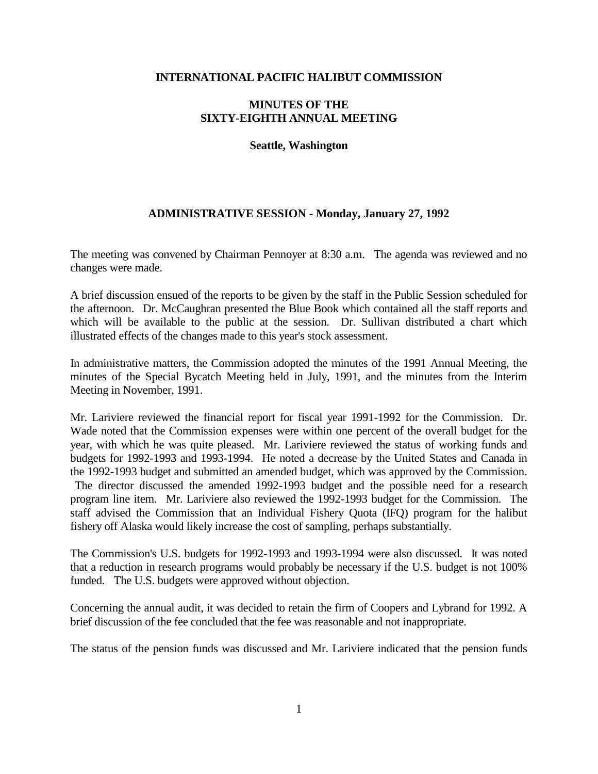### **MINUTES OF THE SIXTY-EIGHTH ANNUAL MEETING**

#### **Seattle, Washington**

# **ADMINISTRATIVE SESSION - Monday, January 27, 1992**

The meeting was convened by Chairman Pennoyer at 8:30 a.m. The agenda was reviewed and no changes were made.

A brief discussion ensued of the reports to be given by the staff in the Public Session scheduled for the afternoon. Dr. McCaughran presented the Blue Book which contained all the staff reports and which will be available to the public at the session. Dr. Sullivan distributed a chart which illustrated effects of the changes made to this year's stock assessment.

In administrative matters, the Commission adopted the minutes of the 1991 Annual Meeting, the minutes of the Special Bycatch Meeting held in July, 1991, and the minutes from the Interim Meeting in November, 1991.

Mr. Lariviere reviewed the financial report for fiscal year 1991-1992 for the Commission. Dr. Wade noted that the Commission expenses were within one percent of the overall budget for the year, with which he was quite pleased. Mr. Lariviere reviewed the status of working funds and budgets for 1992-1993 and 1993-1994. He noted a decrease by the United States and Canada in the 1992-1993 budget and submitted an amended budget, which was approved by the Commission. The director discussed the amended 1992-1993 budget and the possible need for a research program line item. Mr. Lariviere also reviewed the 1992-1993 budget for the Commission. The staff advised the Commission that an Individual Fishery Quota (IFQ) program for the halibut fishery off Alaska would likely increase the cost of sampling, perhaps substantially.

The Commission's U.S. budgets for 1992-1993 and 1993-1994 were also discussed. It was noted that a reduction in research programs would probably be necessary if the U.S. budget is not 100% funded. The U.S. budgets were approved without objection.

Concerning the annual audit, it was decided to retain the firm of Coopers and Lybrand for 1992. A brief discussion of the fee concluded that the fee was reasonable and not inappropriate.

The status of the pension funds was discussed and Mr. Lariviere indicated that the pension funds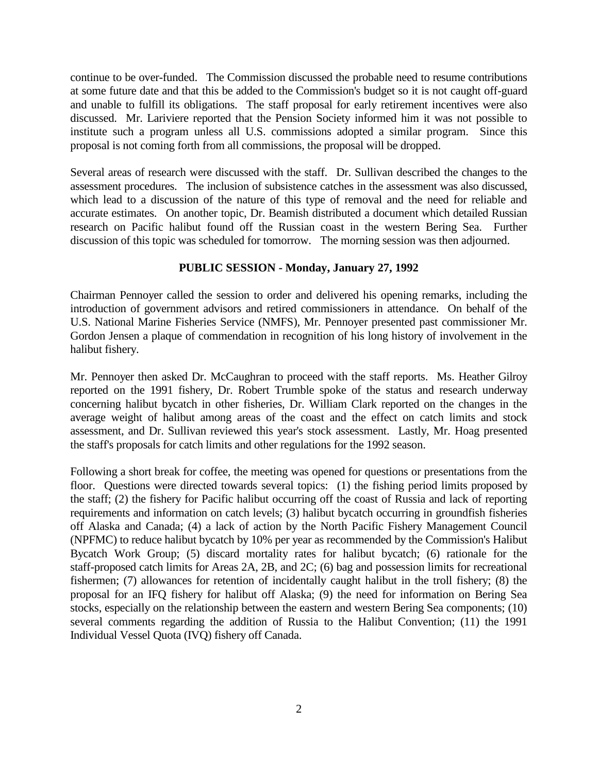continue to be over-funded. The Commission discussed the probable need to resume contributions at some future date and that this be added to the Commission's budget so it is not caught off-guard and unable to fulfill its obligations. The staff proposal for early retirement incentives were also discussed. Mr. Lariviere reported that the Pension Society informed him it was not possible to institute such a program unless all U.S. commissions adopted a similar program. Since this proposal is not coming forth from all commissions, the proposal will be dropped.

Several areas of research were discussed with the staff. Dr. Sullivan described the changes to the assessment procedures. The inclusion of subsistence catches in the assessment was also discussed, which lead to a discussion of the nature of this type of removal and the need for reliable and accurate estimates. On another topic, Dr. Beamish distributed a document which detailed Russian research on Pacific halibut found off the Russian coast in the western Bering Sea. Further discussion of this topic was scheduled for tomorrow. The morning session was then adjourned.

#### **PUBLIC SESSION - Monday, January 27, 1992**

Chairman Pennoyer called the session to order and delivered his opening remarks, including the introduction of government advisors and retired commissioners in attendance. On behalf of the U.S. National Marine Fisheries Service (NMFS), Mr. Pennoyer presented past commissioner Mr. Gordon Jensen a plaque of commendation in recognition of his long history of involvement in the halibut fishery.

Mr. Pennoyer then asked Dr. McCaughran to proceed with the staff reports. Ms. Heather Gilroy reported on the 1991 fishery, Dr. Robert Trumble spoke of the status and research underway concerning halibut bycatch in other fisheries, Dr. William Clark reported on the changes in the average weight of halibut among areas of the coast and the effect on catch limits and stock assessment, and Dr. Sullivan reviewed this year's stock assessment. Lastly, Mr. Hoag presented the staff's proposals for catch limits and other regulations for the 1992 season.

Following a short break for coffee, the meeting was opened for questions or presentations from the floor. Questions were directed towards several topics: (1) the fishing period limits proposed by the staff; (2) the fishery for Pacific halibut occurring off the coast of Russia and lack of reporting requirements and information on catch levels; (3) halibut bycatch occurring in groundfish fisheries off Alaska and Canada; (4) a lack of action by the North Pacific Fishery Management Council (NPFMC) to reduce halibut bycatch by 10% per year as recommended by the Commission's Halibut Bycatch Work Group; (5) discard mortality rates for halibut bycatch; (6) rationale for the staff-proposed catch limits for Areas 2A, 2B, and 2C; (6) bag and possession limits for recreational fishermen; (7) allowances for retention of incidentally caught halibut in the troll fishery; (8) the proposal for an IFQ fishery for halibut off Alaska; (9) the need for information on Bering Sea stocks, especially on the relationship between the eastern and western Bering Sea components; (10) several comments regarding the addition of Russia to the Halibut Convention; (11) the 1991 Individual Vessel Quota (IVQ) fishery off Canada.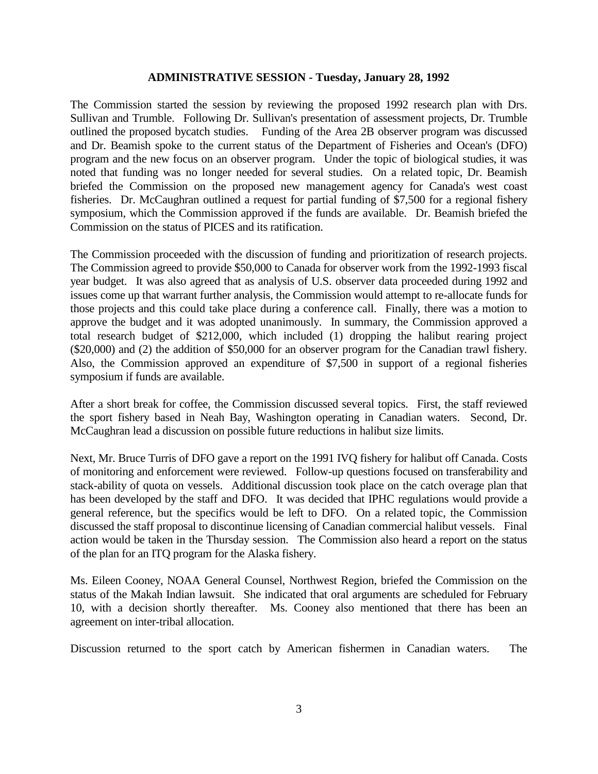#### **ADMINISTRATIVE SESSION - Tuesday, January 28, 1992**

The Commission started the session by reviewing the proposed 1992 research plan with Drs. Sullivan and Trumble. Following Dr. Sullivan's presentation of assessment projects, Dr. Trumble outlined the proposed bycatch studies. Funding of the Area 2B observer program was discussed and Dr. Beamish spoke to the current status of the Department of Fisheries and Ocean's (DFO) program and the new focus on an observer program. Under the topic of biological studies, it was noted that funding was no longer needed for several studies. On a related topic, Dr. Beamish briefed the Commission on the proposed new management agency for Canada's west coast fisheries. Dr. McCaughran outlined a request for partial funding of \$7,500 for a regional fishery symposium, which the Commission approved if the funds are available. Dr. Beamish briefed the Commission on the status of PICES and its ratification.

The Commission proceeded with the discussion of funding and prioritization of research projects. The Commission agreed to provide \$50,000 to Canada for observer work from the 1992-1993 fiscal year budget. It was also agreed that as analysis of U.S. observer data proceeded during 1992 and issues come up that warrant further analysis, the Commission would attempt to re-allocate funds for those projects and this could take place during a conference call. Finally, there was a motion to approve the budget and it was adopted unanimously. In summary, the Commission approved a total research budget of \$212,000, which included (1) dropping the halibut rearing project (\$20,000) and (2) the addition of \$50,000 for an observer program for the Canadian trawl fishery. Also, the Commission approved an expenditure of \$7,500 in support of a regional fisheries symposium if funds are available.

After a short break for coffee, the Commission discussed several topics. First, the staff reviewed the sport fishery based in Neah Bay, Washington operating in Canadian waters. Second, Dr. McCaughran lead a discussion on possible future reductions in halibut size limits.

Next, Mr. Bruce Turris of DFO gave a report on the 1991 IVQ fishery for halibut off Canada. Costs of monitoring and enforcement were reviewed. Follow-up questions focused on transferability and stack-ability of quota on vessels. Additional discussion took place on the catch overage plan that has been developed by the staff and DFO. It was decided that IPHC regulations would provide a general reference, but the specifics would be left to DFO. On a related topic, the Commission discussed the staff proposal to discontinue licensing of Canadian commercial halibut vessels. Final action would be taken in the Thursday session. The Commission also heard a report on the status of the plan for an ITQ program for the Alaska fishery.

Ms. Eileen Cooney, NOAA General Counsel, Northwest Region, briefed the Commission on the status of the Makah Indian lawsuit. She indicated that oral arguments are scheduled for February 10, with a decision shortly thereafter. Ms. Cooney also mentioned that there has been an agreement on inter-tribal allocation.

Discussion returned to the sport catch by American fishermen in Canadian waters. The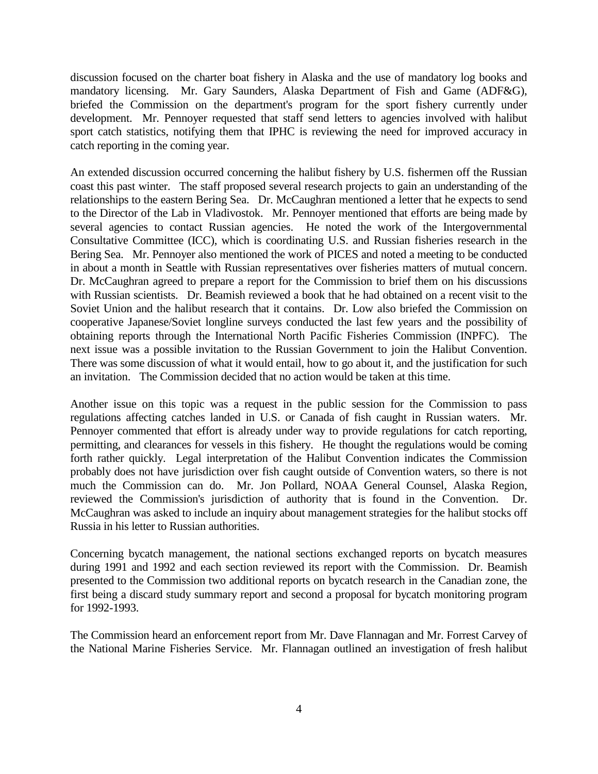discussion focused on the charter boat fishery in Alaska and the use of mandatory log books and mandatory licensing. Mr. Gary Saunders, Alaska Department of Fish and Game (ADF&G), briefed the Commission on the department's program for the sport fishery currently under development. Mr. Pennoyer requested that staff send letters to agencies involved with halibut sport catch statistics, notifying them that IPHC is reviewing the need for improved accuracy in catch reporting in the coming year.

An extended discussion occurred concerning the halibut fishery by U.S. fishermen off the Russian coast this past winter. The staff proposed several research projects to gain an understanding of the relationships to the eastern Bering Sea. Dr. McCaughran mentioned a letter that he expects to send to the Director of the Lab in Vladivostok. Mr. Pennoyer mentioned that efforts are being made by several agencies to contact Russian agencies. He noted the work of the Intergovernmental Consultative Committee (ICC), which is coordinating U.S. and Russian fisheries research in the Bering Sea. Mr. Pennoyer also mentioned the work of PICES and noted a meeting to be conducted in about a month in Seattle with Russian representatives over fisheries matters of mutual concern. Dr. McCaughran agreed to prepare a report for the Commission to brief them on his discussions with Russian scientists. Dr. Beamish reviewed a book that he had obtained on a recent visit to the Soviet Union and the halibut research that it contains. Dr. Low also briefed the Commission on cooperative Japanese/Soviet longline surveys conducted the last few years and the possibility of obtaining reports through the International North Pacific Fisheries Commission (INPFC). The next issue was a possible invitation to the Russian Government to join the Halibut Convention. There was some discussion of what it would entail, how to go about it, and the justification for such an invitation. The Commission decided that no action would be taken at this time.

Another issue on this topic was a request in the public session for the Commission to pass regulations affecting catches landed in U.S. or Canada of fish caught in Russian waters. Mr. Pennoyer commented that effort is already under way to provide regulations for catch reporting, permitting, and clearances for vessels in this fishery. He thought the regulations would be coming forth rather quickly. Legal interpretation of the Halibut Convention indicates the Commission probably does not have jurisdiction over fish caught outside of Convention waters, so there is not much the Commission can do. Mr. Jon Pollard, NOAA General Counsel, Alaska Region, reviewed the Commission's jurisdiction of authority that is found in the Convention. Dr. McCaughran was asked to include an inquiry about management strategies for the halibut stocks off Russia in his letter to Russian authorities.

Concerning bycatch management, the national sections exchanged reports on bycatch measures during 1991 and 1992 and each section reviewed its report with the Commission. Dr. Beamish presented to the Commission two additional reports on bycatch research in the Canadian zone, the first being a discard study summary report and second a proposal for bycatch monitoring program for 1992-1993.

The Commission heard an enforcement report from Mr. Dave Flannagan and Mr. Forrest Carvey of the National Marine Fisheries Service. Mr. Flannagan outlined an investigation of fresh halibut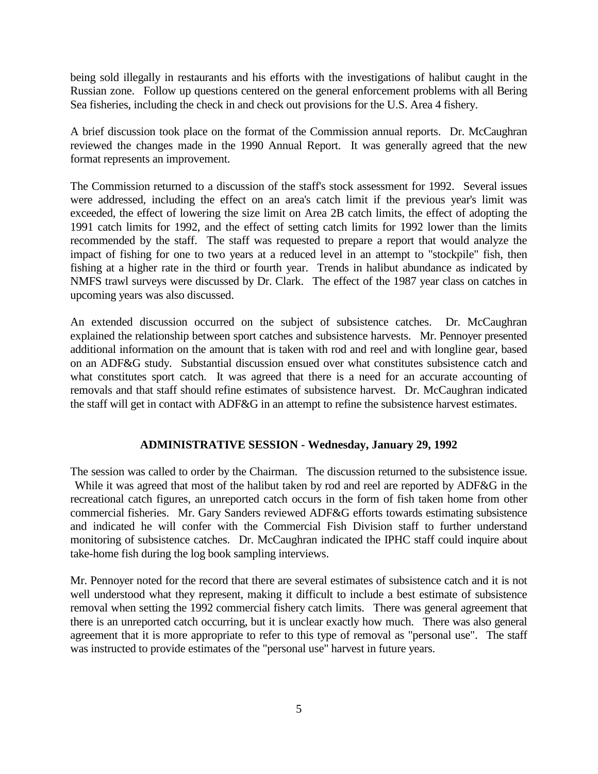being sold illegally in restaurants and his efforts with the investigations of halibut caught in the Russian zone. Follow up questions centered on the general enforcement problems with all Bering Sea fisheries, including the check in and check out provisions for the U.S. Area 4 fishery.

A brief discussion took place on the format of the Commission annual reports. Dr. McCaughran reviewed the changes made in the 1990 Annual Report. It was generally agreed that the new format represents an improvement.

The Commission returned to a discussion of the staff's stock assessment for 1992. Several issues were addressed, including the effect on an area's catch limit if the previous year's limit was exceeded, the effect of lowering the size limit on Area 2B catch limits, the effect of adopting the 1991 catch limits for 1992, and the effect of setting catch limits for 1992 lower than the limits recommended by the staff. The staff was requested to prepare a report that would analyze the impact of fishing for one to two years at a reduced level in an attempt to "stockpile" fish, then fishing at a higher rate in the third or fourth year. Trends in halibut abundance as indicated by NMFS trawl surveys were discussed by Dr. Clark. The effect of the 1987 year class on catches in upcoming years was also discussed.

An extended discussion occurred on the subject of subsistence catches. Dr. McCaughran explained the relationship between sport catches and subsistence harvests. Mr. Pennoyer presented additional information on the amount that is taken with rod and reel and with longline gear, based on an ADF&G study. Substantial discussion ensued over what constitutes subsistence catch and what constitutes sport catch. It was agreed that there is a need for an accurate accounting of removals and that staff should refine estimates of subsistence harvest. Dr. McCaughran indicated the staff will get in contact with ADF&G in an attempt to refine the subsistence harvest estimates.

#### **ADMINISTRATIVE SESSION - Wednesday, January 29, 1992**

The session was called to order by the Chairman. The discussion returned to the subsistence issue. While it was agreed that most of the halibut taken by rod and reel are reported by ADF&G in the recreational catch figures, an unreported catch occurs in the form of fish taken home from other commercial fisheries. Mr. Gary Sanders reviewed ADF&G efforts towards estimating subsistence and indicated he will confer with the Commercial Fish Division staff to further understand monitoring of subsistence catches. Dr. McCaughran indicated the IPHC staff could inquire about take-home fish during the log book sampling interviews.

Mr. Pennoyer noted for the record that there are several estimates of subsistence catch and it is not well understood what they represent, making it difficult to include a best estimate of subsistence removal when setting the 1992 commercial fishery catch limits. There was general agreement that there is an unreported catch occurring, but it is unclear exactly how much. There was also general agreement that it is more appropriate to refer to this type of removal as "personal use". The staff was instructed to provide estimates of the "personal use" harvest in future years.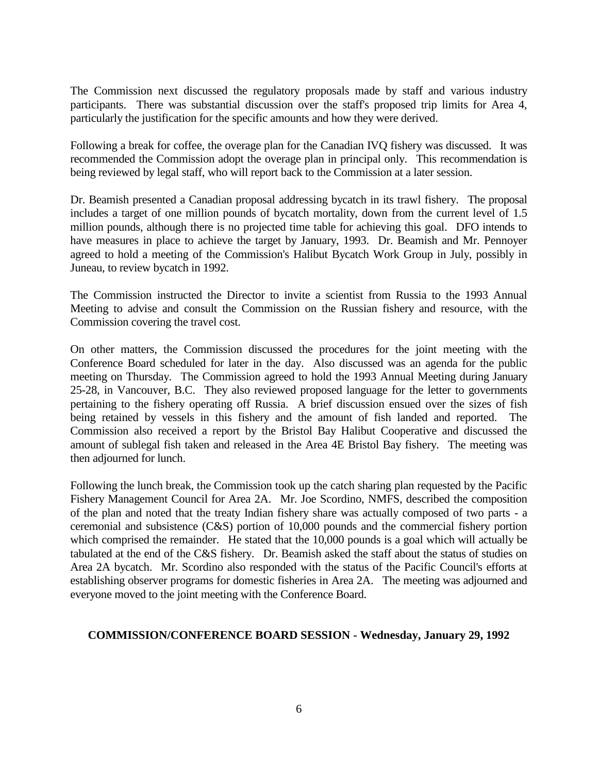The Commission next discussed the regulatory proposals made by staff and various industry participants. There was substantial discussion over the staff's proposed trip limits for Area 4, particularly the justification for the specific amounts and how they were derived.

Following a break for coffee, the overage plan for the Canadian IVQ fishery was discussed. It was recommended the Commission adopt the overage plan in principal only. This recommendation is being reviewed by legal staff, who will report back to the Commission at a later session.

Dr. Beamish presented a Canadian proposal addressing bycatch in its trawl fishery. The proposal includes a target of one million pounds of bycatch mortality, down from the current level of 1.5 million pounds, although there is no projected time table for achieving this goal. DFO intends to have measures in place to achieve the target by January, 1993. Dr. Beamish and Mr. Pennoyer agreed to hold a meeting of the Commission's Halibut Bycatch Work Group in July, possibly in Juneau, to review bycatch in 1992.

The Commission instructed the Director to invite a scientist from Russia to the 1993 Annual Meeting to advise and consult the Commission on the Russian fishery and resource, with the Commission covering the travel cost.

On other matters, the Commission discussed the procedures for the joint meeting with the Conference Board scheduled for later in the day. Also discussed was an agenda for the public meeting on Thursday. The Commission agreed to hold the 1993 Annual Meeting during January 25-28, in Vancouver, B.C. They also reviewed proposed language for the letter to governments pertaining to the fishery operating off Russia. A brief discussion ensued over the sizes of fish being retained by vessels in this fishery and the amount of fish landed and reported. The Commission also received a report by the Bristol Bay Halibut Cooperative and discussed the amount of sublegal fish taken and released in the Area 4E Bristol Bay fishery. The meeting was then adjourned for lunch.

Following the lunch break, the Commission took up the catch sharing plan requested by the Pacific Fishery Management Council for Area 2A. Mr. Joe Scordino, NMFS, described the composition of the plan and noted that the treaty Indian fishery share was actually composed of two parts - a ceremonial and subsistence (C&S) portion of 10,000 pounds and the commercial fishery portion which comprised the remainder. He stated that the 10,000 pounds is a goal which will actually be tabulated at the end of the C&S fishery. Dr. Beamish asked the staff about the status of studies on Area 2A bycatch. Mr. Scordino also responded with the status of the Pacific Council's efforts at establishing observer programs for domestic fisheries in Area 2A. The meeting was adjourned and everyone moved to the joint meeting with the Conference Board.

#### **COMMISSION/CONFERENCE BOARD SESSION - Wednesday, January 29, 1992**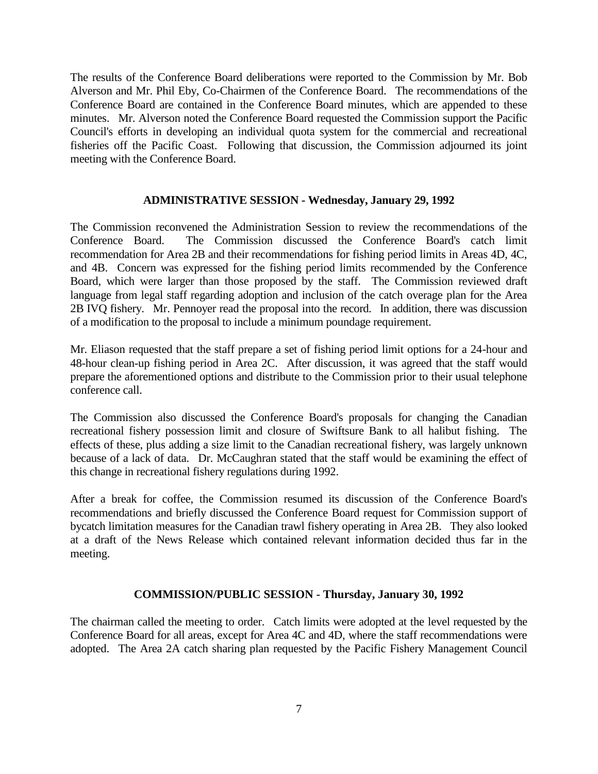The results of the Conference Board deliberations were reported to the Commission by Mr. Bob Alverson and Mr. Phil Eby, Co-Chairmen of the Conference Board. The recommendations of the Conference Board are contained in the Conference Board minutes, which are appended to these minutes. Mr. Alverson noted the Conference Board requested the Commission support the Pacific Council's efforts in developing an individual quota system for the commercial and recreational fisheries off the Pacific Coast. Following that discussion, the Commission adjourned its joint meeting with the Conference Board.

#### **ADMINISTRATIVE SESSION - Wednesday, January 29, 1992**

The Commission reconvened the Administration Session to review the recommendations of the Conference Board. The Commission discussed the Conference Board's catch limit recommendation for Area 2B and their recommendations for fishing period limits in Areas 4D, 4C, and 4B. Concern was expressed for the fishing period limits recommended by the Conference Board, which were larger than those proposed by the staff. The Commission reviewed draft language from legal staff regarding adoption and inclusion of the catch overage plan for the Area 2B IVQ fishery. Mr. Pennoyer read the proposal into the record. In addition, there was discussion of a modification to the proposal to include a minimum poundage requirement.

Mr. Eliason requested that the staff prepare a set of fishing period limit options for a 24-hour and 48-hour clean-up fishing period in Area 2C. After discussion, it was agreed that the staff would prepare the aforementioned options and distribute to the Commission prior to their usual telephone conference call.

The Commission also discussed the Conference Board's proposals for changing the Canadian recreational fishery possession limit and closure of Swiftsure Bank to all halibut fishing. The effects of these, plus adding a size limit to the Canadian recreational fishery, was largely unknown because of a lack of data. Dr. McCaughran stated that the staff would be examining the effect of this change in recreational fishery regulations during 1992.

After a break for coffee, the Commission resumed its discussion of the Conference Board's recommendations and briefly discussed the Conference Board request for Commission support of bycatch limitation measures for the Canadian trawl fishery operating in Area 2B. They also looked at a draft of the News Release which contained relevant information decided thus far in the meeting.

### **COMMISSION/PUBLIC SESSION - Thursday, January 30, 1992**

The chairman called the meeting to order. Catch limits were adopted at the level requested by the Conference Board for all areas, except for Area 4C and 4D, where the staff recommendations were adopted. The Area 2A catch sharing plan requested by the Pacific Fishery Management Council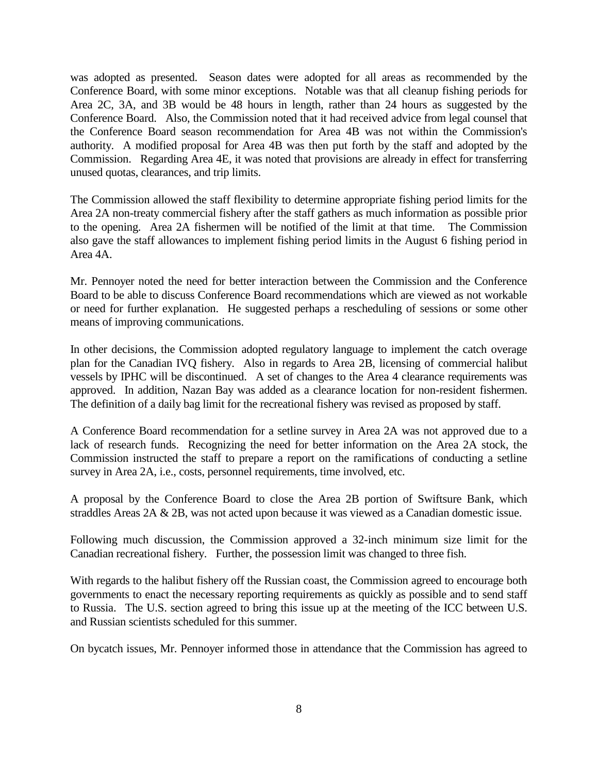was adopted as presented. Season dates were adopted for all areas as recommended by the Conference Board, with some minor exceptions. Notable was that all cleanup fishing periods for Area 2C, 3A, and 3B would be 48 hours in length, rather than 24 hours as suggested by the Conference Board. Also, the Commission noted that it had received advice from legal counsel that the Conference Board season recommendation for Area 4B was not within the Commission's authority. A modified proposal for Area 4B was then put forth by the staff and adopted by the Commission. Regarding Area 4E, it was noted that provisions are already in effect for transferring unused quotas, clearances, and trip limits.

The Commission allowed the staff flexibility to determine appropriate fishing period limits for the Area 2A non-treaty commercial fishery after the staff gathers as much information as possible prior to the opening. Area 2A fishermen will be notified of the limit at that time. The Commission also gave the staff allowances to implement fishing period limits in the August 6 fishing period in Area 4A.

Mr. Pennoyer noted the need for better interaction between the Commission and the Conference Board to be able to discuss Conference Board recommendations which are viewed as not workable or need for further explanation. He suggested perhaps a rescheduling of sessions or some other means of improving communications.

In other decisions, the Commission adopted regulatory language to implement the catch overage plan for the Canadian IVQ fishery. Also in regards to Area 2B, licensing of commercial halibut vessels by IPHC will be discontinued. A set of changes to the Area 4 clearance requirements was approved. In addition, Nazan Bay was added as a clearance location for non-resident fishermen. The definition of a daily bag limit for the recreational fishery was revised as proposed by staff.

A Conference Board recommendation for a setline survey in Area 2A was not approved due to a lack of research funds. Recognizing the need for better information on the Area 2A stock, the Commission instructed the staff to prepare a report on the ramifications of conducting a setline survey in Area 2A, i.e., costs, personnel requirements, time involved, etc.

A proposal by the Conference Board to close the Area 2B portion of Swiftsure Bank, which straddles Areas 2A & 2B, was not acted upon because it was viewed as a Canadian domestic issue.

Following much discussion, the Commission approved a 32-inch minimum size limit for the Canadian recreational fishery. Further, the possession limit was changed to three fish.

With regards to the halibut fishery off the Russian coast, the Commission agreed to encourage both governments to enact the necessary reporting requirements as quickly as possible and to send staff to Russia. The U.S. section agreed to bring this issue up at the meeting of the ICC between U.S. and Russian scientists scheduled for this summer.

On bycatch issues, Mr. Pennoyer informed those in attendance that the Commission has agreed to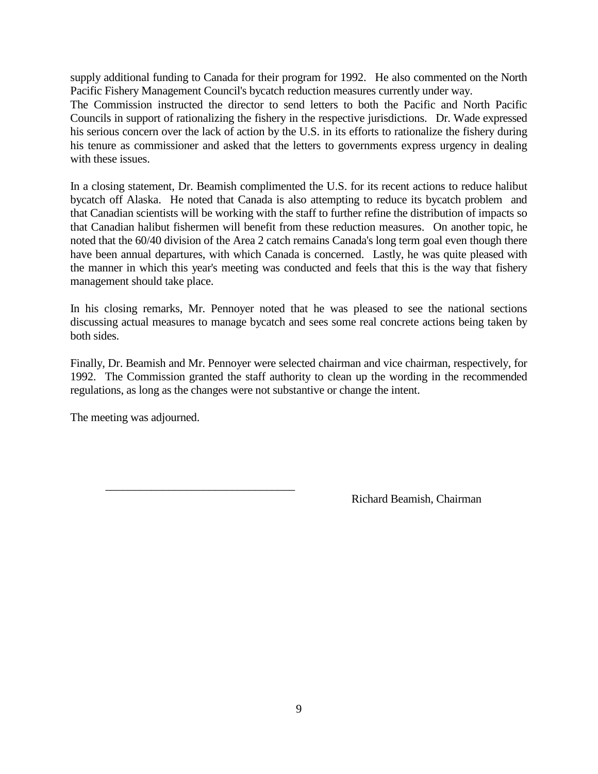supply additional funding to Canada for their program for 1992. He also commented on the North Pacific Fishery Management Council's bycatch reduction measures currently under way.

The Commission instructed the director to send letters to both the Pacific and North Pacific Councils in support of rationalizing the fishery in the respective jurisdictions. Dr. Wade expressed his serious concern over the lack of action by the U.S. in its efforts to rationalize the fishery during his tenure as commissioner and asked that the letters to governments express urgency in dealing with these issues.

In a closing statement, Dr. Beamish complimented the U.S. for its recent actions to reduce halibut bycatch off Alaska. He noted that Canada is also attempting to reduce its bycatch problem and that Canadian scientists will be working with the staff to further refine the distribution of impacts so that Canadian halibut fishermen will benefit from these reduction measures. On another topic, he noted that the 60/40 division of the Area 2 catch remains Canada's long term goal even though there have been annual departures, with which Canada is concerned. Lastly, he was quite pleased with the manner in which this year's meeting was conducted and feels that this is the way that fishery management should take place.

In his closing remarks, Mr. Pennoyer noted that he was pleased to see the national sections discussing actual measures to manage bycatch and sees some real concrete actions being taken by both sides.

Finally, Dr. Beamish and Mr. Pennoyer were selected chairman and vice chairman, respectively, for 1992. The Commission granted the staff authority to clean up the wording in the recommended regulations, as long as the changes were not substantive or change the intent.

The meeting was adjourned.

\_\_\_\_\_\_\_\_\_\_\_\_\_\_\_\_\_\_\_\_\_\_\_\_\_\_\_\_\_\_\_\_\_

Richard Beamish, Chairman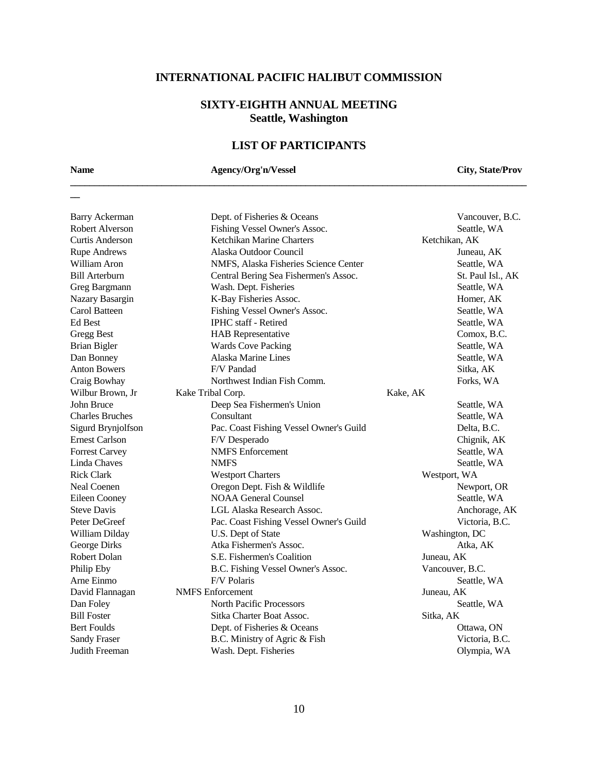# **SIXTY-EIGHTH ANNUAL MEETING Seattle, Washington**

## **LIST OF PARTICIPANTS**

**\_\_\_\_\_\_\_\_\_\_\_\_\_\_\_\_\_\_\_\_\_\_\_\_\_\_\_\_\_\_\_\_\_\_\_\_\_\_\_\_\_\_\_\_\_\_\_\_\_\_\_\_\_\_\_\_\_\_\_\_\_\_\_\_\_\_\_\_\_\_\_\_\_\_\_\_\_\_\_\_\_\_\_\_\_\_\_\_\_\_\_\_\_\_\_**

**\_\_**

## **Name Agency/Org'n/Vessel City, State/Prov**

| <b>Barry Ackerman</b>  | Dept. of Fisheries & Oceans             | Vancouver, B.C.   |
|------------------------|-----------------------------------------|-------------------|
| Robert Alverson        | Fishing Vessel Owner's Assoc.           | Seattle, WA       |
| <b>Curtis Anderson</b> | Ketchikan Marine Charters               | Ketchikan, AK     |
| <b>Rupe Andrews</b>    | Alaska Outdoor Council                  | Juneau, AK        |
| William Aron           | NMFS, Alaska Fisheries Science Center   | Seattle, WA       |
| <b>Bill Arterburn</b>  | Central Bering Sea Fishermen's Assoc.   | St. Paul Isl., AK |
| Greg Bargmann          | Wash. Dept. Fisheries                   | Seattle, WA       |
| Nazary Basargin        | K-Bay Fisheries Assoc.                  | Homer, AK         |
| Carol Batteen          | Fishing Vessel Owner's Assoc.           | Seattle, WA       |
| <b>Ed Best</b>         | <b>IPHC</b> staff - Retired             | Seattle, WA       |
| <b>Gregg Best</b>      | <b>HAB</b> Representative               | Comox, B.C.       |
| <b>Brian Bigler</b>    | <b>Wards Cove Packing</b>               | Seattle, WA       |
| Dan Bonney             | Alaska Marine Lines                     | Seattle, WA       |
| <b>Anton Bowers</b>    | F/V Pandad                              | Sitka, AK         |
| Craig Bowhay           | Northwest Indian Fish Comm.             | Forks, WA         |
| Wilbur Brown, Jr       | Kake Tribal Corp.                       | Kake, AK          |
| John Bruce             | Deep Sea Fishermen's Union              | Seattle, WA       |
| <b>Charles Bruches</b> | Consultant                              | Seattle, WA       |
| Sigurd Brynjolfson     | Pac. Coast Fishing Vessel Owner's Guild | Delta, B.C.       |
| <b>Ernest Carlson</b>  | F/V Desperado                           | Chignik, AK       |
| <b>Forrest Carvey</b>  | <b>NMFS</b> Enforcement                 | Seattle, WA       |
| Linda Chaves           | <b>NMFS</b>                             | Seattle, WA       |
| <b>Rick Clark</b>      | <b>Westport Charters</b>                | Westport, WA      |
| Neal Coenen            | Oregon Dept. Fish & Wildlife            | Newport, OR       |
| <b>Eileen Cooney</b>   | <b>NOAA General Counsel</b>             | Seattle, WA       |
| <b>Steve Davis</b>     | LGL Alaska Research Assoc.              | Anchorage, AK     |
| Peter DeGreef          | Pac. Coast Fishing Vessel Owner's Guild | Victoria, B.C.    |
| William Dilday         | U.S. Dept of State                      | Washington, DC    |
| George Dirks           | Atka Fishermen's Assoc.                 | Atka, AK          |
| <b>Robert Dolan</b>    | S.E. Fishermen's Coalition              | Juneau, AK        |
| Philip Eby             | B.C. Fishing Vessel Owner's Assoc.      | Vancouver, B.C.   |
| Arne Einmo             | F/V Polaris                             | Seattle, WA       |
| David Flannagan        | <b>NMFS</b> Enforcement                 | Juneau, AK        |
| Dan Foley              | <b>North Pacific Processors</b>         | Seattle, WA       |
| <b>Bill Foster</b>     | Sitka Charter Boat Assoc.               | Sitka, AK         |
| <b>Bert Foulds</b>     | Dept. of Fisheries & Oceans             | Ottawa, ON        |
| <b>Sandy Fraser</b>    | B.C. Ministry of Agric & Fish           | Victoria, B.C.    |
| Judith Freeman         | Wash. Dept. Fisheries                   | Olympia, WA       |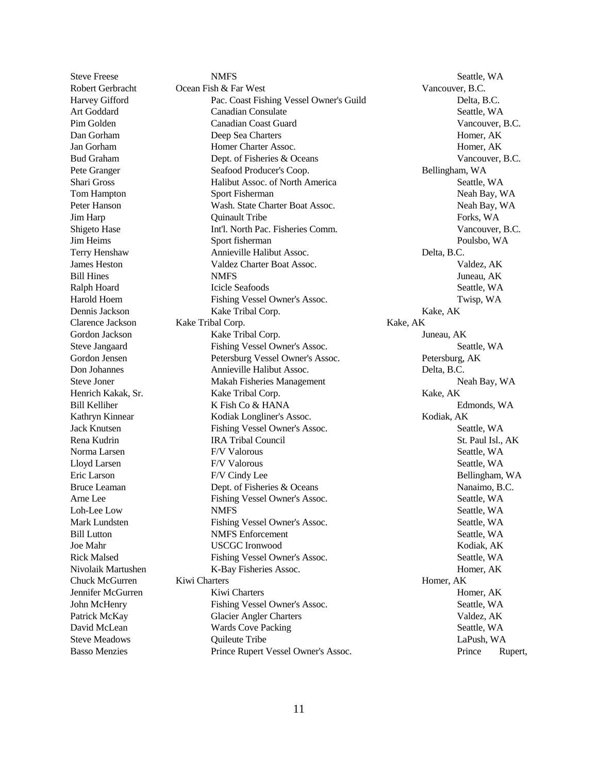Steve Freese Seattle, WA Robert Gerbracht Ocean Fish & Far West Vancouver, B.C. Harvey Gifford Pac. Coast Fishing Vessel Owner's Guild Delta, B.C. Art Goddard Canadian Consulate Canadian Consulate Seattle, WA Pim Golden Canadian Coast Guard Vancouver, B.C. Dan Gorham Deep Sea Charters Homer, AK Jan Gorham Homer Charter Assoc. Homer, AK Bud Graham Dept. of Fisheries & Oceans Vancouver, B.C. Pete Granger Seafood Producer's Coop. The Seafood Producer's Coop. The Bellingham, WA Shari Gross Halibut Assoc. of North America Seattle, WA Tom Hampton Sport Fisherman Sport Fisherman Neah Bay, WA Peter Hanson Wash. State Charter Boat Assoc. Neah Bay, WA Jim Harp **The Community Community** Cuinault Tribe **Forks**, WA Shigeto Hase Int'l. North Pac. Fisheries Comm. Vancouver, B.C. Jim Heims Sport fisherman Poulsbo, WA Terry Henshaw Annieville Halibut Assoc. Delta, B.C. James Heston Valdez Charter Boat Assoc. Valdez, AK Bill Hines **State State State State State State State State State State State State State State State State State State State State State State State State State State State State State State State State State State State** Ralph Hoard **Icicle Seafoods** Seattle, WA Harold Hoem Fishing Vessel Owner's Assoc. Twisp, WA Dennis Jackson Kake Tribal Corp. Kake, AK Clarence Jackson Kake Tribal Corp. Kake, AK Gordon Jackson **Kake Tribal Corp.** Tuneau, AK Steve Jangaard Fishing Vessel Owner's Assoc. Seattle, WA Gordon Jensen Petersburg Vessel Owner's Assoc. Petersburg, AK Don Johannes Annieville Halibut Assoc. Delta, B.C. Steve Joner Makah Fisheries Management Neah Bay, WA Henrich Kakak, Sr. Kake Tribal Corp. The Contract Contract Contract Contract Contract Contract Contract Contract Contract Contract Contract Contract Contract Contract Contract Contract Contract Contract Contract Contract C Bill Kelliher **K** Fish Co & HANA Edmonds, WA Kathryn Kinnear Kodiak Longliner's Assoc. Kodiak, AK Jack Knutsen Fishing Vessel Owner's Assoc. Seattle, WA Rena Kudrin **IRA Tribal Council St. Paul Isl., AK** Norma Larsen F/V Valorous F/V Valorous Seattle, WA Lloyd Larsen **EXA** F/V Valorous **Seattle, WA** Seattle, WA Eric Larson F/V Cindy Lee Bellingham, WA Bruce Leaman Dept. of Fisheries & Oceans Nanaimo, B.C. Arne Lee Fishing Vessel Owner's Assoc. Seattle, WA Loh-Lee Low NMFS Seattle, WA Mark Lundsten Fishing Vessel Owner's Assoc. Seattle, WA Bill Lutton **NMFS** Enforcement Seattle, WA Joe Mahr USCGC Ironwood Kodiak, AK Rick Malsed Fishing Vessel Owner's Assoc. Seattle, WA Nivolaik Martushen K-Bay Fisheries Assoc. Homer, AK Chuck McGurren Kiwi Charters Homer, AK Jennifer McGurren Kiwi Charters Homer, AK John McHenry Fishing Vessel Owner's Assoc. Seattle, WA Patrick McKay Glacier Angler Charters Valdez, AK David McLean Wards Cove Packing Seattle, WA Steve Meadows **Community** Quileute Tribe **LaPush, WA** LaPush, WA Basso Menzies Prince Rupert Vessel Owner's Assoc. Prince Rupert,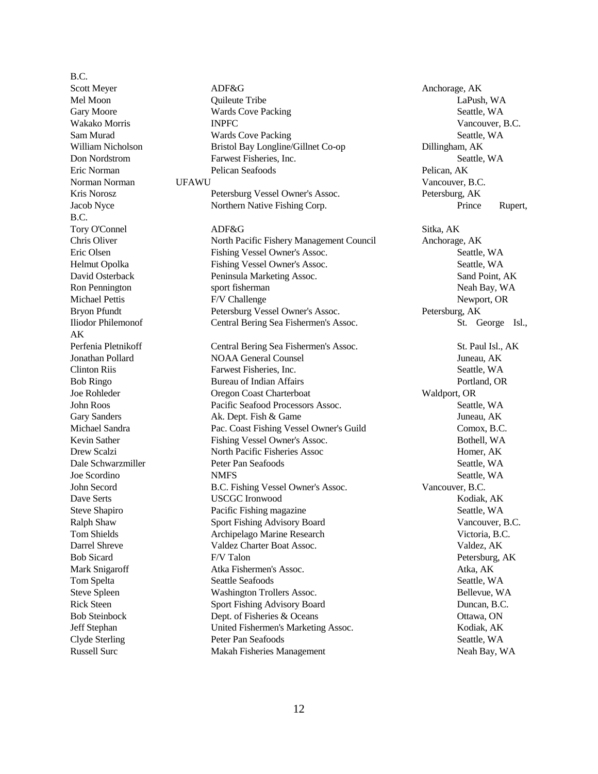B.C. Scott Meyer **ADF&G** Anchorage, AK B.C. AK

Mel Moon Quileute Tribe LaPush, WA Gary Moore **Seattle, WA Wards Cove Packing Seattle, WA Seattle, WA Seattle**, WA Wakako Morris **INPFC** INPEC **Vancouver, B.C.** Sam Murad Seattle, Wards Cove Packing Seattle, WA William Nicholson Bristol Bay Longline/Gillnet Co-op Dillingham, AK Don Nordstrom Farwest Fisheries, Inc. Seattle, WA Eric Norman Pelican Seafoods Pelican, AK Norman Norman UFAWU Vancouver, B.C. Kris Norosz Petersburg Vessel Owner's Assoc. Petersburg, AK Jacob Nyce Northern Native Fishing Corp. Prince Rupert, Tory O'Connel ADF&G Sitka, AK Chris Oliver North Pacific Fishery Management Council Anchorage, AK Eric Olsen Fishing Vessel Owner's Assoc. Seattle, WA Helmut Opolka Fishing Vessel Owner's Assoc. Seattle, WA David Osterback Peninsula Marketing Assoc. Sand Point, AK Ron Pennington sport fisherman sport fisherman Neah Bay, WA Michael Pettis **F/V** Challenge **Newport, OR** Newport, OR Bryon Pfundt Petersburg Vessel Owner's Assoc. Petersburg, AK Iliodor Philemonof Central Bering Sea Fishermen's Assoc. St. George Isl., Perfenia Pletnikoff Central Bering Sea Fishermen's Assoc. St. Paul Isl., AK Jonathan Pollard NOAA General Counsel Juneau, AK Clinton Riis Farwest Fisheries, Inc. Seattle, WA Bob Ringo Bureau of Indian Affairs **Portland**, OR Joe Rohleder Oregon Coast Charterboat Waldport, OR John Roos Pacific Seafood Processors Assoc. Seattle, WA Gary Sanders **Ak.** Dept. Fish & Game Juneau, AK Michael Sandra Pac. Coast Fishing Vessel Owner's Guild Comox, B.C. Kevin Sather Fishing Vessel Owner's Assoc. Bothell, WA Drew Scalzi North Pacific Fisheries Assoc Homer, AK Dale Schwarzmiller Peter Pan Seafoods Seattle, WA Joe Scordino **NMFS** Seattle, WA John Secord B.C. Fishing Vessel Owner's Assoc. Vancouver, B.C. Dave Serts USCGC Ironwood Kodiak, AK Steve Shapiro **Pacific Fishing magazine** Seattle, WA Ralph Shaw Sport Fishing Advisory Board Vancouver, B.C. Tom Shields **Archipelago Marine Research** Victoria, B.C. Darrel Shreve Valdez Charter Boat Assoc. Valdez, AK Bob Sicard F/V Talon Petersburg, AK Mark Snigaroff **Atka Fishermen's Assoc.** Atka, AK Tom Spelta Seattle Seafoods Seattle Seafoods Seattle, WA Steve Spleen Washington Trollers Assoc. Bellevue, WA Rick Steen Sport Fishing Advisory Board Duncan, B.C. Bob Steinbock Dept. of Fisheries & Oceans Ottawa, ON Ottawa, ON Jeff Stephan United Fishermen's Marketing Assoc. Kodiak, AK Clyde Sterling Peter Pan Seafoods Seattle, WA Russell Surc Makah Fisheries Management Neah Bay, WA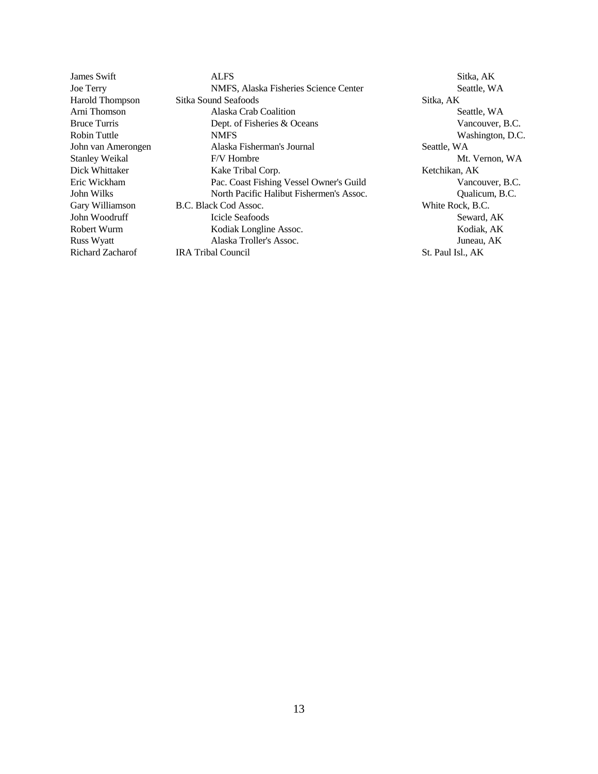James Swift ALFS ALFS ALFS Sitka, AK Joe Terry NMFS, Alaska Fisheries Science Center Seattle, WA Harold Thompson Sitka Sound Seafoods Sitka, AK Arni Thomson Alaska Crab Coalition Seattle, WA Bruce Turris Dept. of Fisheries & Oceans Vancouver, B.C. Robin Tuttle MMFS NMFS Washington, D.C. John van Amerongen Alaska Fisherman's Journal Seattle, WA Stanley Weikal F/V Hombre The Mt. Vernon, WA Dick Whittaker Kake Tribal Corp. Kake Tribal Corp. Eric Wickham Pac. Coast Fishing Vessel Owner's Guild Vancouver, B.C. John Wilks North Pacific Halibut Fishermen's Assoc. Qualicum, B.C. Gary Williamson B.C. Black Cod Assoc. White Rock, B.C. John Woodruff **Icicle Seafoods** Seward, AK Robert Wurm Kodiak Longline Assoc. Kodiak, AK Russ Wyatt Alaska Troller's Assoc. Juneau, AK Richard Zacharof IRA Tribal Council St. Paul Isl., AK